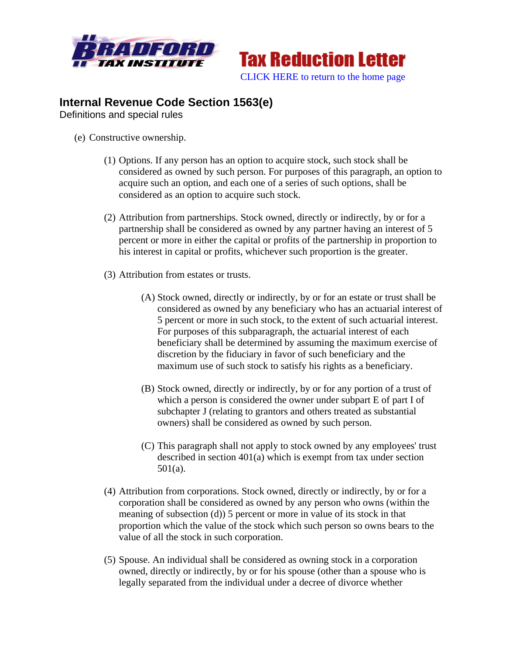



## **Internal Revenue Code Section 1563(e)**

Definitions and special rules

- (e) Constructive ownership.
	- (1) Options. If any person has an option to acquire stock, such stock shall be considered as owned by such person. For purposes of this paragraph, an option to acquire such an option, and each one of a series of such options, shall be considered as an option to acquire such stock.
	- (2) Attribution from partnerships. Stock owned, directly or indirectly, by or for a partnership shall be considered as owned by any partner having an interest of 5 percent or more in either the capital or profits of the partnership in proportion to his interest in capital or profits, whichever such proportion is the greater.
	- (3) Attribution from estates or trusts.
		- (A) Stock owned, directly or indirectly, by or for an estate or trust shall be considered as owned by any beneficiary who has an actuarial interest of 5 percent or more in such stock, to the extent of such actuarial interest. For purposes of this subparagraph, the actuarial interest of each beneficiary shall be determined by assuming the maximum exercise of discretion by the fiduciary in favor of such beneficiary and the maximum use of such stock to satisfy his rights as a beneficiary.
		- (B) Stock owned, directly or indirectly, by or for any portion of a trust of which a person is considered the owner under subpart E of part I of subchapter J (relating to grantors and others treated as substantial owners) shall be considered as owned by such person.
		- (C) This paragraph shall not apply to stock owned by any employees' trust described in section 401(a) which is exempt from tax under section 501(a).
	- (4) Attribution from corporations. Stock owned, directly or indirectly, by or for a corporation shall be considered as owned by any person who owns (within the meaning of subsection (d)) 5 percent or more in value of its stock in that proportion which the value of the stock which such person so owns bears to the value of all the stock in such corporation.
	- (5) Spouse. An individual shall be considered as owning stock in a corporation owned, directly or indirectly, by or for his spouse (other than a spouse who is legally separated from the individual under a decree of divorce whether